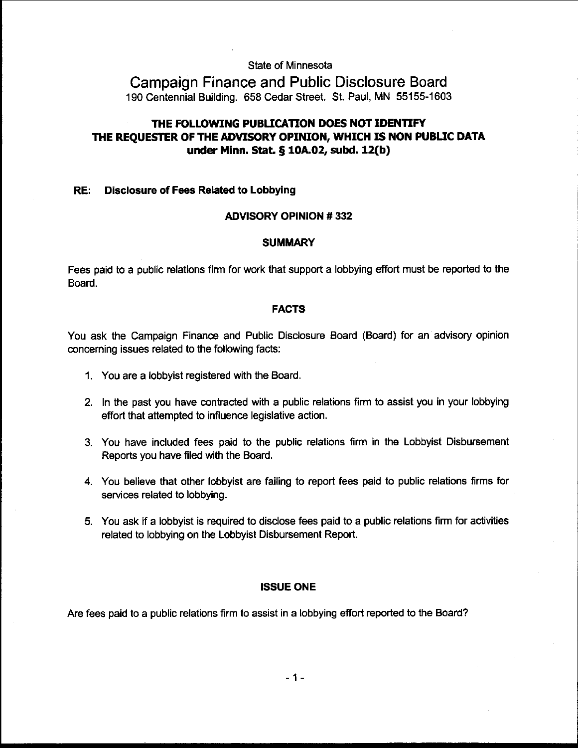State of Minnesota

Campaign Finance and Public Disclosure Board 190 Centennial Building. 658 Cedar Street. St. Paul, MN 55155-1603

# **THE FOLLOWING PUBLICATION DOES NOT IDENTIFY THE REQUESTER OF THE ADVISORY OPINION, WHICH IS NON PUBLIC DATA**  under **Minn. Stat. 5 10A.02** subd. **12(b)**

#### RE: Disclosure of Fees Related to Lobbying

### ADVISORY OPINION # 332

#### **SUMMARY**

Fees paid to a public relations firm for work that support a lobbying effort must be reported to the Board.

#### FACTS

You ask the Campaign Finance and Public Disclosure Board (Board) for an advisory opinion concerning issues related to the following facts:

- 1. You are a lobbyist registered with the Board.
- 2. In the past you have contracted with a public relations firm to assist you in your lobbying effort that attempted to influence legislative action.
- 3. You have included fees paid to the public relations firm in the Lobbyist Disbursement Reports you have filed with the Board.
- 4. You believe that other lobbyist are failing to report fees paid to public relations firms for services related to lobbying.
- 5. You ask if a lobbyist is required to disclose fees paid to a public relations firm for activities related to lobbying on the Lobbyist Disbursement Report.

#### ISSUE ONE

Are fees paid to a public relations firm to assist in a lobbying effort reported to the Board?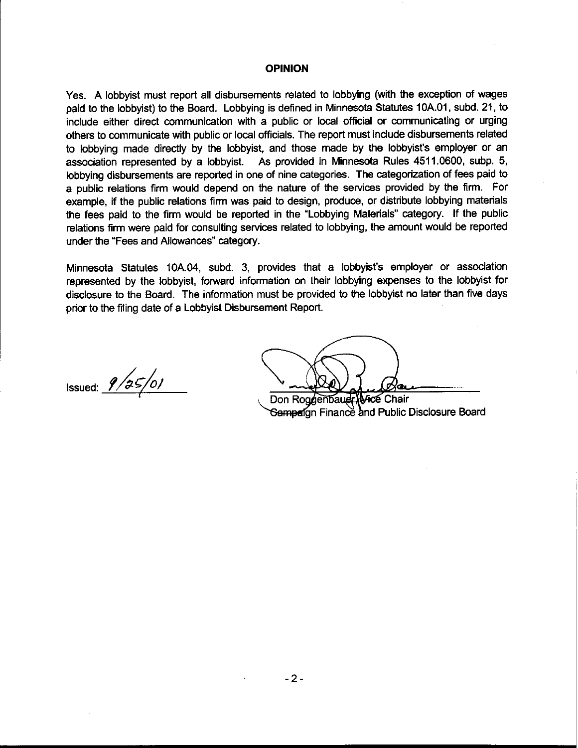### **OPINION**

Yes. A lobbyist must report all disbursements related to lobbying (with the exception of wages paid to the lobbyist) to the Board. Lobbying is defined in Minnesota Statutes 10A.O1, subd. 21, to include either direct communication with a public or local official or communicating or urging others to communicate with public or local officials. The report must include disbursements related to lobbying made directly by the lobbyist, and those made by the lobbyist's employer or an association represented by a lobbyist. As provided in Minnesota Rules 4511.0600, subp. 5, lobbying disbursements are reported in one of nine categories. The categorization of fees paid to a public relations firm would depend on the nature of the services provided by the firm. For example, if the public relations firm was paid to design, produce, or distribute lobbying materials the fees paid to the firm would be reported in the 'Lobbying Materials" category. If the public relations firm were paid for consulting services related to lobbying, the amount would be reported under the "Fees and Allowances" category.

Minnesota Statutes 10A.04, subd. 3, provides that a lobbyist's employer or association represented by the lobbyist, forward information on their lobbying expenses to the lobbyist for disclosure to the Board. The information must be provided to the lobbyist no later than five days prior to the filing date of a Lobbyist Disbursement Report.

Issued:  $9/35/01$ 

Don Roggenbauer Wice Chair Sampaign Finance and Public Disclosure Board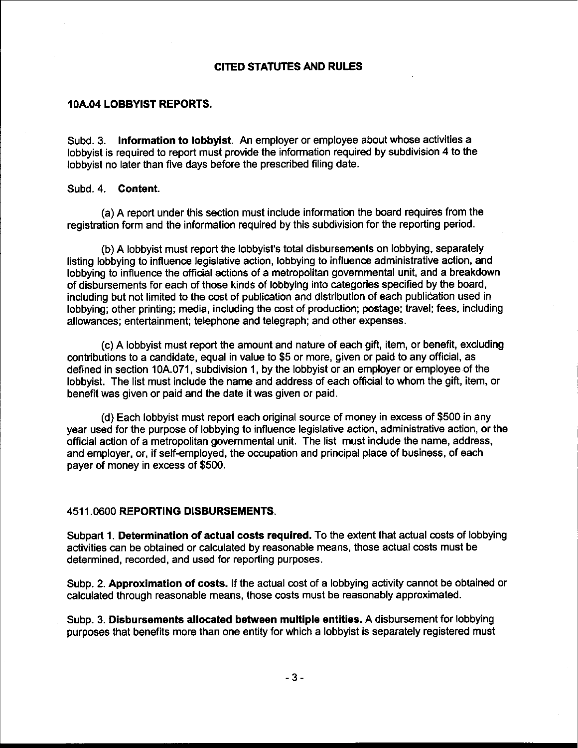# CITED STATUTES AND RULES

# **10A.04** LOBBYIST REPORTS.

Subd. 3. Information to lobbyist. An employer or employee about whose activities a lobbyist is required to report must provide the information required by subdivision 4 to the lobbyist no later than five days before the prescribed filing date.

#### Subd. 4. Content.

(a) A report under this section must include information the board requires from the registration form and the information required by this subdivision for the reporting period.

(b) A lobbyist must report the lobbyist's total disbursements on lobbying, separately listing lobbying to influence legislative action, lobbying to influence administrative action, and lobbying to influence the official actions of a metropolitan governmental unit, and a breakdown of disbursements for each of those kinds of lobbying into categories specified by the board, including but not limited to the cost of publication and distribution of each publication used in lobbying; other printing; media, including the cost of production; postage; travel; fees, including allowances; entertainment; telephone and telegraph; and other expenses.

(c) A lobbyist must report the amount and nature of each gift, item, or benefit, excluding contributions to a candidate, equal in value to \$5 or more, given or paid to any official, as defined in section 10A.071, subdivision 1, by the lobbyist or an employer or employee of the lobbyist. The list must include the name and address of each official to whom the gift, item, or benefit was given or paid and the date it was given or paid.

(d) Each lobbyist must report each original source of money in excess of \$500 in any year used for the purpose of lobbying to influence legislative action, administrative action, or the official action of a metropolitan governmental unit. The list must include the name, address. and employer, or, if self-employed, the occupation and principal place of business, of each payer of money in excess of \$500.

## 451 1.0600 REPORTING DISBURSEMENTS.

Subpart 1. Determination of actual costs required. To the extent that actual costs of lobbying activities can be obtained or calculated by reasonable means, those actual costs must be determined, recorded, and used for reporting purposes.

Subp. 2. Approximation of costs. If the actual cost of a lobbying activity cannot be obtained or calculated through reasonable means, those costs must be reasonably approximated.

Subp. 3. Disbursements allocated between multiple entities. A disbursement for lobbying purposes that benefits more than one entity for which a lobbyist is separately registered must